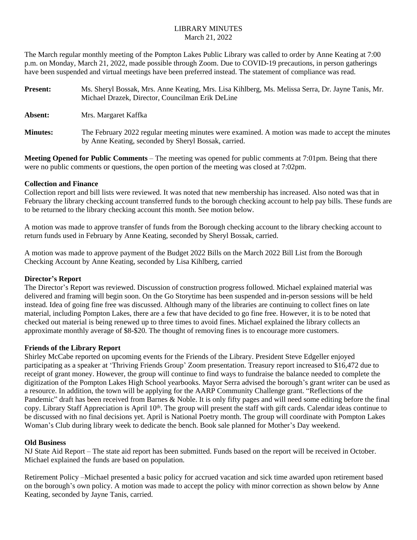## LIBRARY MINUTES March 21, 2022

The March regular monthly meeting of the Pompton Lakes Public Library was called to order by Anne Keating at 7:00 p.m. on Monday, March 21, 2022, made possible through Zoom. Due to COVID-19 precautions, in person gatherings have been suspended and virtual meetings have been preferred instead. The statement of compliance was read.

| <b>Present:</b> | Ms. Sheryl Bossak, Mrs. Anne Keating, Mrs. Lisa Kihlberg, Ms. Melissa Serra, Dr. Jayne Tanis, Mr.<br>Michael Drazek, Director, Councilman Erik DeLine    |
|-----------------|----------------------------------------------------------------------------------------------------------------------------------------------------------|
| Absent:         | Mrs. Margaret Kaffka                                                                                                                                     |
| <b>Minutes:</b> | The February 2022 regular meeting minutes were examined. A motion was made to accept the minutes<br>by Anne Keating, seconded by Sheryl Bossak, carried. |

**Meeting Opened for Public Comments** – The meeting was opened for public comments at 7:01pm. Being that there were no public comments or questions, the open portion of the meeting was closed at 7:02pm.

## **Collection and Finance**

Collection report and bill lists were reviewed. It was noted that new membership has increased. Also noted was that in February the library checking account transferred funds to the borough checking account to help pay bills. These funds are to be returned to the library checking account this month. See motion below.

A motion was made to approve transfer of funds from the Borough checking account to the library checking account to return funds used in February by Anne Keating, seconded by Sheryl Bossak, carried.

A motion was made to approve payment of the Budget 2022 Bills on the March 2022 Bill List from the Borough Checking Account by Anne Keating, seconded by Lisa Kihlberg, carried

## **Director's Report**

The Director's Report was reviewed. Discussion of construction progress followed. Michael explained material was delivered and framing will begin soon. On the Go Storytime has been suspended and in-person sessions will be held instead. Idea of going fine free was discussed. Although many of the libraries are continuing to collect fines on late material, including Pompton Lakes, there are a few that have decided to go fine free. However, it is to be noted that checked out material is being renewed up to three times to avoid fines. Michael explained the library collects an approximate monthly average of \$8-\$20. The thought of removing fines is to encourage more customers.

## **Friends of the Library Report**

Shirley McCabe reported on upcoming events for the Friends of the Library. President Steve Edgeller enjoyed participating as a speaker at 'Thriving Friends Group' Zoom presentation. Treasury report increased to \$16,472 due to receipt of grant money. However, the group will continue to find ways to fundraise the balance needed to complete the digitization of the Pompton Lakes High School yearbooks. Mayor Serra advised the borough's grant writer can be used as a resource. In addition, the town will be applying for the AARP Community Challenge grant. "Reflections of the Pandemic" draft has been received from Barnes & Noble. It is only fifty pages and will need some editing before the final copy. Library Staff Appreciation is April 10<sup>th</sup>. The group will present the staff with gift cards. Calendar ideas continue to be discussed with no final decisions yet. April is National Poetry month. The group will coordinate with Pompton Lakes Woman's Club during library week to dedicate the bench. Book sale planned for Mother's Day weekend.

## **Old Business**

NJ State Aid Report – The state aid report has been submitted. Funds based on the report will be received in October. Michael explained the funds are based on population.

Retirement Policy –Michael presented a basic policy for accrued vacation and sick time awarded upon retirement based on the borough's own policy. A motion was made to accept the policy with minor correction as shown below by Anne Keating, seconded by Jayne Tanis, carried.